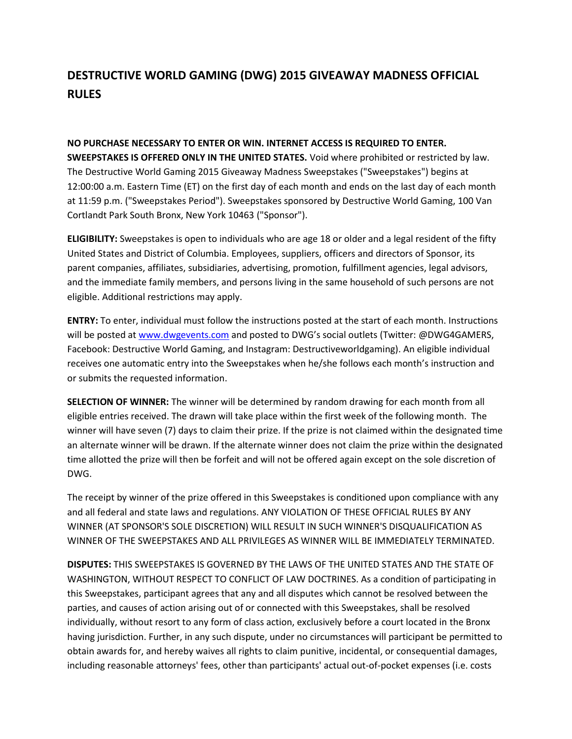## **DESTRUCTIVE WORLD GAMING (DWG) 2015 GIVEAWAY MADNESS OFFICIAL RULES**

**NO PURCHASE NECESSARY TO ENTER OR WIN. INTERNET ACCESS IS REQUIRED TO ENTER. SWEEPSTAKES IS OFFERED ONLY IN THE UNITED STATES.** Void where prohibited or restricted by law. The Destructive World Gaming 2015 Giveaway Madness Sweepstakes ("Sweepstakes") begins at 12:00:00 a.m. Eastern Time (ET) on the first day of each month and ends on the last day of each month at 11:59 p.m. ("Sweepstakes Period"). Sweepstakes sponsored by Destructive World Gaming, 100 Van Cortlandt Park South Bronx, New York 10463 ("Sponsor").

**ELIGIBILITY:** Sweepstakes is open to individuals who are age 18 or older and a legal resident of the fifty United States and District of Columbia. Employees, suppliers, officers and directors of Sponsor, its parent companies, affiliates, subsidiaries, advertising, promotion, fulfillment agencies, legal advisors, and the immediate family members, and persons living in the same household of such persons are not eligible. Additional restrictions may apply.

**ENTRY:** To enter, individual must follow the instructions posted at the start of each month. Instructions will be posted at [www.dwgevents.com](http://www.dwgevents.com/) and posted to DWG's social outlets (Twitter: @DWG4GAMERS, Facebook: Destructive World Gaming, and Instagram: Destructiveworldgaming). An eligible individual receives one automatic entry into the Sweepstakes when he/she follows each month's instruction and or submits the requested information.

**SELECTION OF WINNER:** The winner will be determined by random drawing for each month from all eligible entries received. The drawn will take place within the first week of the following month. The winner will have seven (7) days to claim their prize. If the prize is not claimed within the designated time an alternate winner will be drawn. If the alternate winner does not claim the prize within the designated time allotted the prize will then be forfeit and will not be offered again except on the sole discretion of DWG.

The receipt by winner of the prize offered in this Sweepstakes is conditioned upon compliance with any and all federal and state laws and regulations. ANY VIOLATION OF THESE OFFICIAL RULES BY ANY WINNER (AT SPONSOR'S SOLE DISCRETION) WILL RESULT IN SUCH WINNER'S DISQUALIFICATION AS WINNER OF THE SWEEPSTAKES AND ALL PRIVILEGES AS WINNER WILL BE IMMEDIATELY TERMINATED.

**DISPUTES:** THIS SWEEPSTAKES IS GOVERNED BY THE LAWS OF THE UNITED STATES AND THE STATE OF WASHINGTON, WITHOUT RESPECT TO CONFLICT OF LAW DOCTRINES. As a condition of participating in this Sweepstakes, participant agrees that any and all disputes which cannot be resolved between the parties, and causes of action arising out of or connected with this Sweepstakes, shall be resolved individually, without resort to any form of class action, exclusively before a court located in the Bronx having jurisdiction. Further, in any such dispute, under no circumstances will participant be permitted to obtain awards for, and hereby waives all rights to claim punitive, incidental, or consequential damages, including reasonable attorneys' fees, other than participants' actual out-of-pocket expenses (i.e. costs